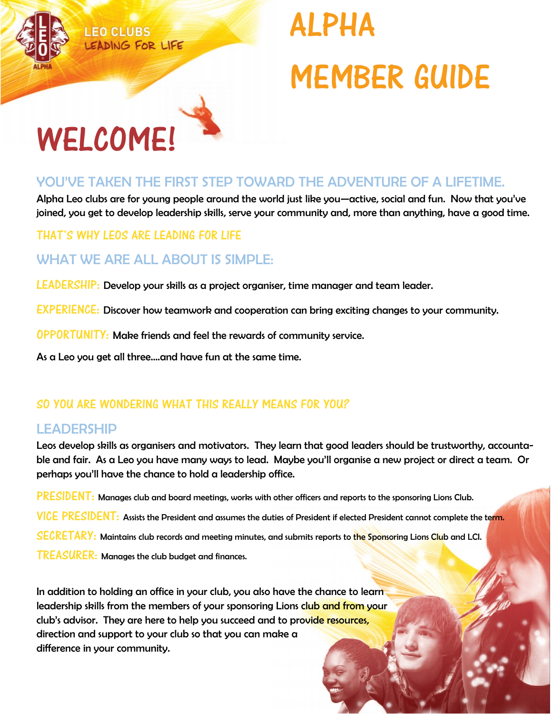

# ALPHA MEMBER GUIDE

# WELCOME!

## YOU'VE TAKEN THE FIRST STEP TOWARD THE ADVENTURE OF A LIFETIME.

Alpha Leo clubs are for young people around the world just like you—active, social and fun. Now that you've joined, you get to develop leadership skills, serve your community and, more than anything, have a good time.

#### THAT'S WHY LEOS ARE LEADING FOR LIFE

# WHAT WE ARE ALL ABOUT IS SIMPLE:

LEADERSHIP: Develop your skills as a project organiser, time manager and team leader.

EXPERIENCE: Discover how teamwork and cooperation can bring exciting changes to your community.

OPPORTUNITY: Make friends and feel the rewards of community service.

As a Leo you get all three….and have fun at the same time.

#### SO YOU ARE WONDERING WHAT THIS REALLY MEANS FOR YOU?

#### LEADERSHIP

Leos develop skills as organisers and motivators. They learn that good leaders should be trustworthy, accountable and fair. As a Leo you have many ways to lead. Maybe you'll organise a new project or direct a team. Or perhaps you'll have the chance to hold a leadership office.

PRESIDENT: Manages club and board meetings, works with other officers and reports to the sponsoring Lions Club. VICE PRESIDENT: Assists the President and assumes the duties of President if elected President cannot complete the term. SECRETARY: Maintains club records and meeting minutes, and submits reports to the Sponsoring Lions Club and LCI. TREASURER: Manages the club budget and finances.

In addition to holding an office in your club, you also have the chance to learn leadership skills from the members of your sponsoring Lions club and from your club's advisor. They are here to help you succeed and to provide resources, direction and support to your club so that you can make a difference in your community.